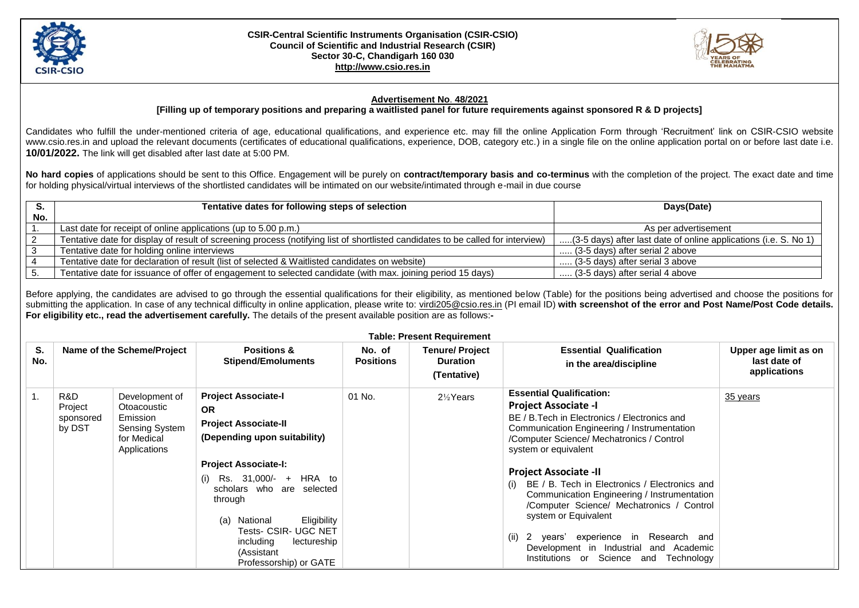

## **CSIR-Central Scientific Instruments Organisation (CSIR-CSIO) Council of Scientific and Industrial Research (CSIR) Sector 30-C, Chandigarh 160 030 [http://www.csio.res.in](http://www.csio.res.in/)**



## **Advertisement No**. **48/2021**

**[Filling up of temporary positions and preparing a waitlisted panel for future requirements against sponsored R & D projects]**

Candidates who fulfill the under-mentioned criteria of age, educational qualifications, and experience etc. may fill the online Application Form through 'Recruitment' link on CSIR-CSIO website www.csio.res.in and upload the relevant documents (certificates of educational qualifications, experience, DOB, category etc.) in a single file on the online application portal on or before last date i.e. **10/01/2022.** The link will get disabled after last date at 5:00 PM.

**No hard copies** of applications should be sent to this Office. Engagement will be purely on **contract/temporary basis and co-terminus** with the completion of the project. The exact date and time for holding physical/virtual interviews of the shortlisted candidates will be intimated on our website/intimated through e-mail in due course

|     | Tentative dates for following steps of selection                                                                                | Days(Date)                                                       |
|-----|---------------------------------------------------------------------------------------------------------------------------------|------------------------------------------------------------------|
| No. |                                                                                                                                 |                                                                  |
|     | Last date for receipt of online applications (up to 5.00 p.m.)                                                                  | As per advertisement                                             |
|     | Tentative date for display of result of screening process (notifying list of shortlisted candidates to be called for interview) | (3-5 days) after last date of online applications (i.e. S. No 1) |
|     | Tentative date for holding online interviews                                                                                    | (3-5 days) after serial 2 above                                  |
|     | Tentative date for declaration of result (list of selected & Waitlisted candidates on website)                                  | (3-5 days) after serial 3 above                                  |
|     | Tentative date for issuance of offer of engagement to selected candidate (with max. joining period 15 days)                     | (3-5 days) after serial 4 above                                  |

Before applying, the candidates are advised to go through the essential qualifications for their eligibility, as mentioned below (Table) for the positions being advertised and choose the positions for submitting the application. In case of any technical difficulty in online application, please write to: [virdi205@csio.res.in](mailto:virdi205@csio.res.in) (PI email ID) with screenshot of the error and Post Name/Post Code details. **For eligibility etc., read the advertisement carefully.** The details of the present available position are as follows:**-**

| <b>Table: Present Requirement</b> |                                       |                                                                                                   |                                                                                                                                                                                                                                                                                                                                                    |                            |                                                         |                                                                                                                                                                                                                                                                                                                                                                                                                                                                                                                                                                                 |                                                       |  |
|-----------------------------------|---------------------------------------|---------------------------------------------------------------------------------------------------|----------------------------------------------------------------------------------------------------------------------------------------------------------------------------------------------------------------------------------------------------------------------------------------------------------------------------------------------------|----------------------------|---------------------------------------------------------|---------------------------------------------------------------------------------------------------------------------------------------------------------------------------------------------------------------------------------------------------------------------------------------------------------------------------------------------------------------------------------------------------------------------------------------------------------------------------------------------------------------------------------------------------------------------------------|-------------------------------------------------------|--|
| S.<br>No.                         |                                       | Name of the Scheme/Project                                                                        | <b>Positions &amp;</b><br><b>Stipend/Emoluments</b>                                                                                                                                                                                                                                                                                                | No. of<br><b>Positions</b> | <b>Tenure/Project</b><br><b>Duration</b><br>(Tentative) | <b>Essential Qualification</b><br>in the area/discipline                                                                                                                                                                                                                                                                                                                                                                                                                                                                                                                        | Upper age limit as on<br>last date of<br>applications |  |
| 1.                                | R&D<br>Project<br>sponsored<br>by DST | Development of<br>Otoacoustic<br>Emission<br><b>Sensing System</b><br>for Medical<br>Applications | <b>Project Associate-I</b><br><b>OR</b><br><b>Project Associate-II</b><br>(Depending upon suitability)<br><b>Project Associate-I:</b><br>Rs. 31,000/- + HRA to<br>(1)<br>scholars who are selected<br>through<br>Eligibility<br>National<br>(a)<br><b>Tests- CSIR- UGC NET</b><br>including<br>lectureship<br>(Assistant<br>Professorship) or GATE | 01 No.                     | $2\frac{1}{2}$ Years                                    | <b>Essential Qualification:</b><br><b>Project Associate -I</b><br>BE / B. Tech in Electronics / Electronics and<br>Communication Engineering / Instrumentation<br>/Computer Science/ Mechatronics / Control<br>system or equivalent<br><b>Project Associate -II</b><br>BE / B. Tech in Electronics / Electronics and<br>(i)<br>Communication Engineering / Instrumentation<br>/Computer Science/ Mechatronics / Control<br>system or Equivalent<br>(ii) 2 years' experience in Research and<br>Development in Industrial and Academic<br>Institutions or Science and Technology | 35 years                                              |  |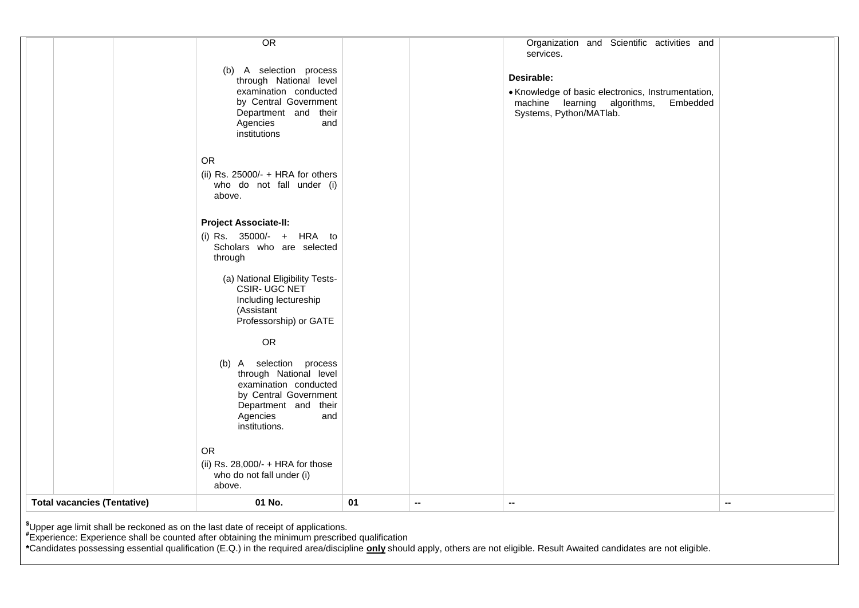|                                    | *Upper age limit shall be reckoned as on the last date of receipt of applications.<br>"Experience: Experience shall be counted after obtaining the minimum prescribed qualification |    |        |                                                                                                                                         |
|------------------------------------|-------------------------------------------------------------------------------------------------------------------------------------------------------------------------------------|----|--------|-----------------------------------------------------------------------------------------------------------------------------------------|
| <b>Total vacancies (Tentative)</b> | 01 No.                                                                                                                                                                              | 01 | $\sim$ | $\overline{\phantom{a}}$<br>$\overline{\phantom{a}}$                                                                                    |
|                                    | <b>OR</b><br>(ii) Rs. 28,000/- $+$ HRA for those<br>who do not fall under (i)<br>above.                                                                                             |    |        |                                                                                                                                         |
|                                    | (b) A selection process<br>through National level<br>examination conducted<br>by Central Government<br>Department and their<br>Agencies<br>and<br>institutions.                     |    |        |                                                                                                                                         |
|                                    | (Assistant<br>Professorship) or GATE<br><b>OR</b>                                                                                                                                   |    |        |                                                                                                                                         |
|                                    | (a) National Eligibility Tests-<br>CSIR- UGC NET<br>Including lectureship                                                                                                           |    |        |                                                                                                                                         |
|                                    | <b>Project Associate-II:</b><br>(i) Rs. 35000/- + HRA to<br>Scholars who are selected<br>through                                                                                    |    |        |                                                                                                                                         |
|                                    | <b>OR</b><br>(ii) Rs. 25000/- $+$ HRA for others<br>who do not fall under (i)<br>above.                                                                                             |    |        |                                                                                                                                         |
|                                    | (b) A selection process<br>through National level<br>examination conducted<br>by Central Government<br>Department and their<br>Agencies<br>and<br>institutions                      |    |        | Desirable:<br>• Knowledge of basic electronics, Instrumentation,<br>machine learning algorithms,<br>Embedded<br>Systems, Python/MATlab. |
|                                    | $\overline{OR}$                                                                                                                                                                     |    |        | Organization and Scientific activities and<br>services.                                                                                 |